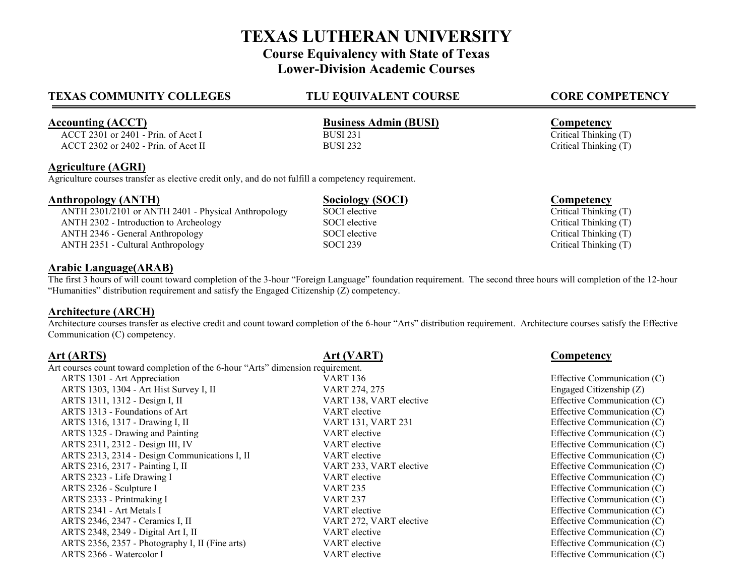# **TEXAS LUTHERAN UNIVERSITY Course Equivalency with State of Texas Lower-Division Academic Courses**

# **TEXAS COMMUNITY COLLEGES TLU EQUIVALENT COURSE CORE COMPETENCY**

ACCT 2301 or  $2401$  - Prin. of Acct I

## **Agriculture (AGRI)**

Agriculture courses transfer as elective credit only, and do not fulfill a competency requirement.

**Anthropology (ANTH)**<br> **ANTH 2301/2101 or ANTH 2401 - Physical Anthropology SOCI elective SOCI elective Critical Thinking (T)** ANTH 2301/2101 or ANTH 2401 - Physical Anthropology SOCI elective ANTH 2302 - Introduction to Archeology SOCI elective Critical Thinking (T)<br>ANTH 2346 - General Anthropology SOCI elective Critical Thinking (T) ANTH 2346 - General Anthropology SOCI elective ANTH 2351 - Cultural Anthropology SOCI 239 Critical Thinking (T)

## **Arabic Language(ARAB)**

The first 3 hours of will count toward completion of the 3-hour "Foreign Language" foundation requirement. The second three hours will completion of the 12-hour "Humanities" distribution requirement and satisfy the Engaged Citizenship (Z) competency.

## **Architecture (ARCH)**

Architecture courses transfer as elective credit and count toward completion of the 6-hour "Arts" distribution requirement. Architecture courses satisfy the Effective Communication (C) competency.

Art courses count toward completion of the 6-hour "Arts" dimension requirement.

ARTS 1301 - Art Appreciation **Article Communication** C) **VART 136** Effective Communication (C) ARTS 1303, 1304 - Art Hist Survey I, II VART 274, 275 Engaged Citizenship (Z) ARTS 1311, 1312 - Design I, II VART 138, VART 138, VART elective Effective Communication (C) ARTS 1313 - Foundations of Art VART elective Effective Communication (C) ARTS 1316, 1317 - Drawing I, II VART 131, VART 231 Effective Communication (C) ARTS 1325 - Drawing and Painting The Communication (C) and VART elective Communication (C) effective Communication (C) ARTS 2311, 2312 - Design III, IV VART elective VART elective Effective Communication (C) ARTS 2313, 2314 - Design Communications I, II VART elective Effective Communication (C) ARTS 2316, 2317 - Painting I, II VART 233, VART 233, VART elective Effective Communication (C) ARTS 2323 - Life Drawing I CONSERVIATE USE START elective Communication (C) ARTS 2326 - Sculpture I CONSERVATION VART 235 ARTS 2333 - Printmaking I VART 237 Effective Communication (C) ARTS 2341 - Art Metals I VART elective Effective Communication (C) ARTS 2346, 2347 - Ceramics I, II VART 272, VART elective Effective Communication (C) ARTS 2348, 2349 - Digital Art I, II VART elective Effective Communication (C) ARTS 2356, 2357 - Photography I, II (Fine arts) VART elective VART elective Effective Communication (C) ARTS 2366 - Watercolor I VART elective Effective Communication (C)

# **Art (ARTS) Art (VART) Competency**

**Accounting (ACCT)**<br>ACCT 2301 or 2401 - Prin. of Acct I BUSI 231 BUSI 231 **BUSI 231** Critical Thinking (T) ACCT 2302 or 2402 - Prin. of Acct II BUSI 232 Critical Thinking (T)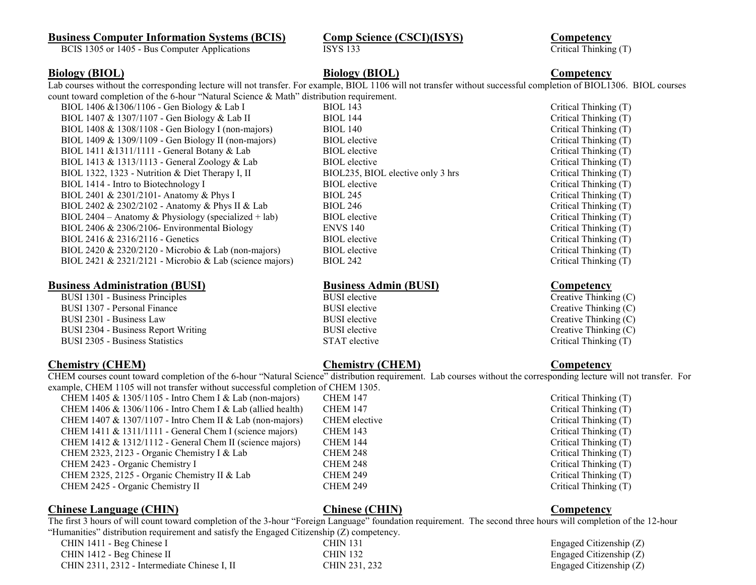# **Business Computer Information Systems (BCIS) Comp Science (CSCI)(ISYS) Competency Competency Competency C CSCI**) **C CSCI C CSCI C CSCI C CSCI C CSCI C CSCI C CSCI C CSCI C C**

BCIS 1305 or 1405 - Bus Computer Applications ISYS 133

**Biology (BIOL) Biology (BIOL) Competency**

Lab courses without the corresponding lecture will not transfer. For example, BIOL 1106 will not transfer without successful completion of BIOL1306. BIOL courses count toward completion of the 6-hour "Natural Science & Math" distribution requirement.

BIOL 1406 &1306/1106 - Gen Biology & Lab I BIOL 143 Critical Thinking (T) BIOL 1407 & 1307/1107 - Gen Biology & Lab II BIOL 144 Critical Thinking (T) BIOL 1408 & 1308/1108 - Gen Biology I (non-majors) BIOL 140 Critical Thinking (T) BIOL 1409 & 1309/1109 - Gen Biology II (non-majors) BIOL elective Critical Thinking (T)<br>BIOL elective Critical Thinking (T) BIOL elective Critical Thinking (T)  $BIOL 1411 \& 1311/1111$  - General Botany  $\&$  Lab BIOL elective BIOL 1413 & 1313/1113 - General Zoology & Lab BIOL elective Critical Thinking (T) BIOL 1322, 1323 - Nutrition & Diet Therapy I, II BIOL235, BIOL elective only 3 hrs Critical Thinking (T) BIOL 1414 - Intro to Biotechnology I BIOL elective BIOL elective Critical Thinking (T) BIOL 2401 & 2301/2101- Anatomy & Phys I BIOL 245 Critical Thinking (T) BIOL 2402 & 2302/2102 - Anatomy & Phys II & Lab BIOL 246 Critical Thinking (T) BIOL 2404 – Anatomy & Physiology (specialized + lab) BIOL elective Critical Thinking (T) BIOL 2406 & 2306/2106- Environmental Biology ENVS 140 Critical Thinking (T) BIOL 2416 & 2316/2116 - Genetics BIOL elective BIOL elective Critical Thinking (T) BIOL 2420 & 2320/2120 - Microbio & Lab (non-majors) BIOL elective Critical Thinking (T) BIOL 2421 & 2321/2121 - Microbio & Lab (science majors) BIOL 242 Critical Thinking (T)

# **Business Administration (BUSI)**<br>BUSI 1301 - Business Principles<br>Creative BUSI elective BUSI elective Creative Creative Thinking (C)

BUSI 1301 - Business Principles BUSI 1307 - Personal Finance **BUSI elective** BUSI elective Creative Thinking (C) BUSI 2301 - Business Law BUSI elective BUSI elective Creative Thinking (C) BUSI 2304 - Business Report Writing BUSI elective BUSI elective Creative Thinking (C) BUSI 2305 - Business Statistics STAT elective STAT elective Critical Thinking (T)

**Chemistry (CHEM) Chemistry (CHEM) Competency**

CHEM courses count toward completion of the 6-hour "Natural Science" distribution requirement. Lab courses without the corresponding lecture will not transfer. For example, CHEM 1105 will not transfer without successful completion of CHEM 1305.

CHEM 1405 & 1305/1105 - Intro Chem I & Lab (non-majors) CHEM 147 Critical Thinking (T) CHEM 1406 & 1306/1106 - Intro Chem I & Lab (allied health) CHEM 147 Critical Thinking (T) CHEM 1407 & 1307/1107 - Intro Chem II & Lab (non-majors) CHEM elective Critical Thinking (T) CHEM 1411 & 1311/1111 - General Chem I (science majors) CHEM 143 Critical Thinking (T) CHEM 1412 & 1312/1112 - General Chem II (science majors) CHEM 144 Critical Thinking (T) CHEM 2323, 2123 - Organic Chemistry I & Lab CHEM 248 Critical Thinking (T) CHEM 2423 - Organic Chemistry I CHEM 248 Critical Thinking (T) CHEM 2325, 2125 - Organic Chemistry II & Lab CHEM 249 Critical Thinking (T) CHEM 2425 - Organic Chemistry II CHEM 249 CHEM 249 Critical Thinking (T)

## **Chinese Language (CHIN) Chinese (CHIN) Competency**

The first 3 hours of will count toward completion of the 3-hour "Foreign Language" foundation requirement. The second three hours will completion of the 12-hour "Humanities" distribution requirement and satisfy the Engaged Citizenship (Z) competency.

CHIN 1411 - Beg Chinese I CHIN 131 Engaged Citizenship (Z) CHIN 1412 - Beg Chinese II CHIN 132 Engaged Citizenship (Z) CHIN 2311, 2312 - Intermediate Chinese I, II CHIN 231, 232 Engaged Citizenship (Z)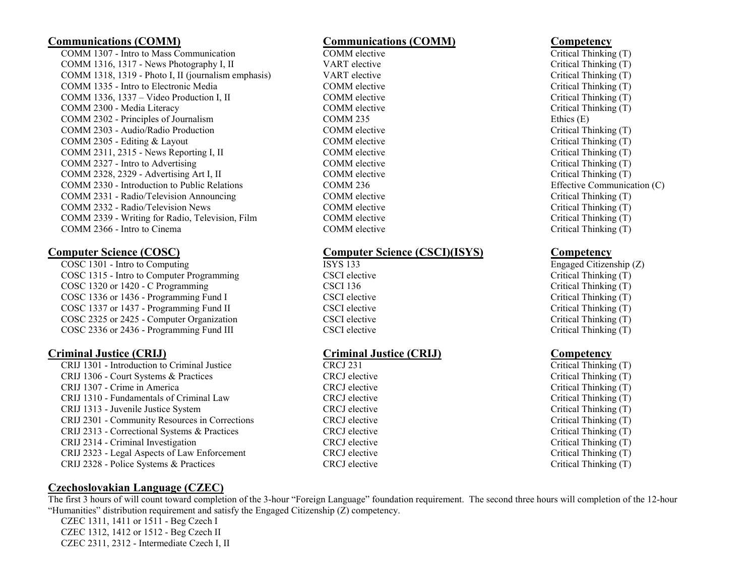COMM 1307 - Intro to Mass Communication COMM elective Critical Thinking (T) COMM 1316, 1317 - News Photography I, II VART elective Critical Thinking (T) COMM 1318, 1319 - Photo I, II (journalism emphasis) VART elective Critical Thinking (T) COMM 1335 - Intro to Electronic Media COMM elective Critical Thinking (T) COMM 1336, 1337 – Video Production I, II COMM elective COMM elective Critical Thinking (T) COMM 2300 - Media Literacy COMM elective Critical Thinking (T) COMM 2302 - Principles of Journalism COMM 235 Ethics (E) COMM 2303 - Audio/Radio Production COMM elective Critical Thinking (T) COMM 2305 - Editing & Layout COMM elective COMM elective Critical Thinking (T) COMM 2311, 2315 - News Reporting I, II COMM elective COMM elective Critical Thinking (T)<br>COMM 2327 - Intro to Advertising CRITICAL COMM elective COMM elective Critical Thinking (T) COMM 2327 - Intro to Advertising COMM elective COMM elective COMM 2328, 2329 - Advertising Art I, II COMM elective COMM elective Critical Thinking (T) COMM 2330 - Introduction to Public Relations COMM 236 Effective Communication (C) COMM 2331 - Radio/Television Announcing COMM elective Critical Thinking (T) COMM 2332 - Radio/Television News COMM elective COMM elective Critical Thinking (T) COMM 2339 - Writing for Radio, Television, Film COMM elective COMM elective Critical Thinking (T) COMM 2366 - Intro to Cinema COMM elective COMM elective COMM elective Critical Thinking (T)

COSC 1301 - Intro to Computing ISYS 133 Engaged Citizenship (Z) COSC 1315 - Intro to Computer Programming CSCI elective CSCI elective Critical Thinking (T) COSC 1320 or 1420 - C Programming CSCI 136 CSCI 136 Critical Thinking (T) COSC 1336 or 1436 - Programming Fund I CSCI elective CSCI elective Critical Thinking (T) COSC 1337 or 1437 - Programming Fund II CSCI elective CSCI elective Critical Thinking (T) COSC 2325 or 2425 - Computer Organization CSCI elective CSCI elective Critical Thinking (T) COSC 2336 or 2436 - Programming Fund III CSCI elective CSCI examples and Critical Thinking (T)

**Criminal Justice (CRIJ)**<br>
CRIJ 1301 - Introduction to Criminal Justice<br>
CRCJ 231<br>
CRCJ 231<br>
CRCJ 231  $CRIJ$  1301 - Introduction to Criminal Justice CRIJ 1306 - Court Systems & Practices CRCJ elective Critical Thinking (T) CRIJ 1307 - Crime in America CRCJ elective Critical Thinking (T) CRIJ 1310 - Fundamentals of Criminal Law CRCJ elective Critical Thinking (T) CRIJ 1313 - Juvenile Justice System CRCJ elective Critical Thinking (T) CRIJ 2301 - Community Resources in Corrections CRCJ elective Critical Thinking (T) CRIJ 2313 - Correctional Systems & Practices CRCJ elective Critical Thinking (T) CRIJ 2314 - Criminal Investigation CRCJ elective Critical Thinking (T) CRIJ 2323 - Legal Aspects of Law Enforcement CRCJ elective Critical Thinking (T) CRIJ 2328 - Police Systems & Practices CRCJ elective Critical Thinking (T)

# **Communications (COMM) Communications (COMM) Competency**

# **Computer Science (COSC) Computer Science (CSCI)(ISYS) Competency**

# **Czechoslovakian Language (CZEC)**

The first 3 hours of will count toward completion of the 3-hour "Foreign Language" foundation requirement. The second three hours will completion of the 12-hour "Humanities" distribution requirement and satisfy the Engaged Citizenship (Z) competency.

CZEC 1311, 1411 or 1511 - Beg Czech I CZEC 1312, 1412 or 1512 - Beg Czech II CZEC 2311, 2312 - Intermediate Czech I, II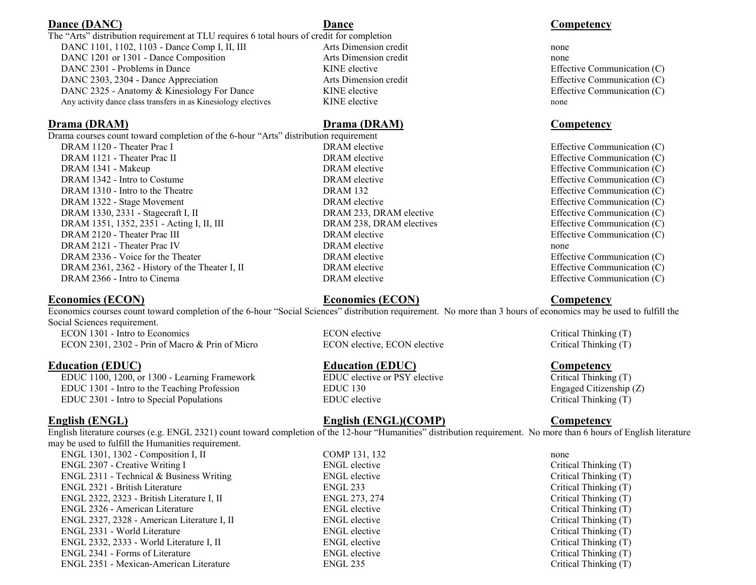# **Dance (DANC) Dance Competency Competency**

## The "Arts" distribution requirement at TLU requires 6 total hours of credit for completion DANC 1101, 1102, 1103 - Dance Comp I, II, III Arts Dimension credit none none DANC 1201 or 1301 - Dance Composition Arts Dimension credit none DANC 2301 - Problems in Dance **KINE** elective **KINE** elective **Effective Communication (C)** DANC 2303, 2304 - Dance Appreciation Arts Dimension credit Effective Communication (C) DANC 2325 - Anatomy & Kinesiology For Dance KINE elective KINE elective Effective Communication (C) Any activity dance class transfers in as Kinesiology electives KINE elective none none

Drama courses count toward completion of the 6-hour "Arts" distribution requirement DRAM 1120 - Theater Prac I **DRAM** elective **Effective Communication (C)** BRAM elective **Effective Communication** (C) DRAM 1121 - Theater Prac II **DRAM** elective **Effective Communication (C)** Effective Communication (C) DRAM 1341 - Makeup **DRAM elective Communication (C)** DRAM elective Effective Communication (C) DRAM 1342 - Intro to Costume DRAM elective Effective Communication (C) DRAM 1310 - Intro to the Theatre DRAM 132 Effective Communication (C) DRAM 1322 - Stage Movement COMEXAM elective Communication (C) DRAM 1330, 2331 - Stagecraft I, II DRAM 233, DRAM elective Effective Communication (C) DRAM 1351, 1352, 2351 - Acting I, II, III DRAM 238, DRAM electives Effective Communication (C) DRAM 2120 - Theater Prac III **DRAM elective Communication (C)** Effective Communication (C) DRAM 2121 - Theater Prac IV DRAM elective none DRAM 2336 - Voice for the Theater DRAM elective Effective Communication (C) DRAM 2361, 2362 - History of the Theater I, II DRAM elective Effective Effective Communication (C) DRAM 2366 - Intro to Cinema DRAM elective Effective Communication (C)

# **Economics (ECON) Economics (ECON) Competency**

Economics courses count toward completion of the 6-hour "Social Sciences" distribution requirement. No more than 3 hours of economics may be used to fulfill the Social Sciences requirement. ECON 1301 - Intro to Economics ECON elective ECON elective Critical Thinking (T)

ECON 2301, 2302 - Prin of Macro & Prin of Micro ECON elective, ECON elective Critical Thinking (T)

**Education (EDUC)**<br> **EDUC 1100, 1200, or 1300 - Learning Framework**<br> **EDUC elective or PSY elective**<br> **EDUC elective or PSY elective** EDUC 1100, 1200, or 1300 - Learning Framework EDUC 1301 - Intro to the Teaching Profession EDUC 130 EDUC 130 Engaged Citizenship (Z) EDUC 2301 - Intro to Special Populations EDUC elective Critical Thinking (T)

# **English (ENGL) English (ENGL)(COMP) Competency**

English literature courses (e.g. ENGL 2321) count toward completion of the 12-hour "Humanities" distribution requirement. No more than 6 hours of English literature may be used to fulfill the Humanities requirement.

| $ENGL$ 1301, 1302 - Composition I, II       | COMP 131, 132        | none                  |
|---------------------------------------------|----------------------|-----------------------|
| ENGL 2307 - Creative Writing I              | <b>ENGL</b> elective | Critical Thinking (T) |
| ENGL 2311 - Technical & Business Writing    | <b>ENGL</b> elective | Critical Thinking (T) |
| ENGL 2321 - British Literature              | <b>ENGL 233</b>      | Critical Thinking (T) |
| ENGL 2322, 2323 - British Literature I, II  | ENGL 273, 274        | Critical Thinking (T) |
| ENGL 2326 - American Literature             | <b>ENGL</b> elective | Critical Thinking (T) |
| ENGL 2327, 2328 - American Literature I, II | <b>ENGL</b> elective | Critical Thinking (T) |
| ENGL 2331 - World Literature                | <b>ENGL</b> elective | Critical Thinking (T) |
| ENGL 2332, 2333 - World Literature I, II    | <b>ENGL</b> elective | Critical Thinking (T) |
| ENGL 2341 - Forms of Literature             | <b>ENGL</b> elective | Critical Thinking (T) |
| ENGL 2351 - Mexican-American Literature     | <b>ENGL 235</b>      | Critical Thinking (T) |

# **Drama (DRAM) Drama (DRAM) Competency**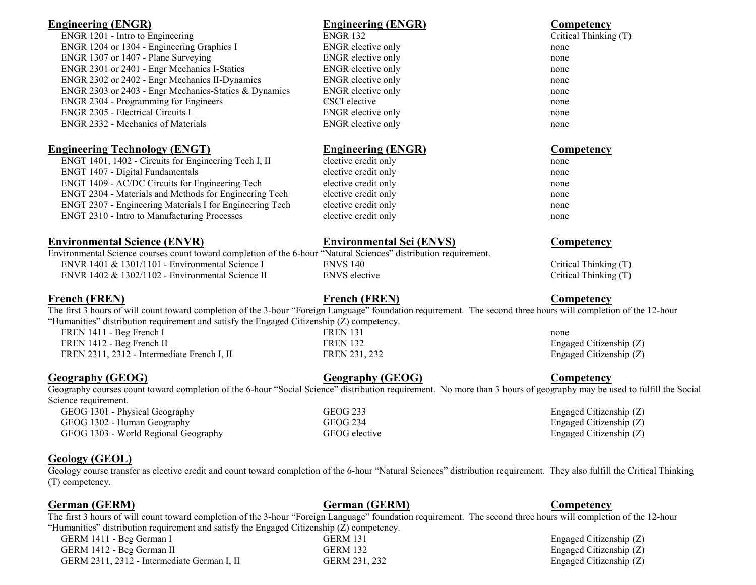| <b>Engineering (ENGR)</b>                                                                                                                                                                                                                                     | <b>Engineering (ENGR)</b>       | Competency                |
|---------------------------------------------------------------------------------------------------------------------------------------------------------------------------------------------------------------------------------------------------------------|---------------------------------|---------------------------|
| ENGR 1201 - Intro to Engineering                                                                                                                                                                                                                              | <b>ENGR 132</b>                 | Critical Thinking (T)     |
| ENGR 1204 or 1304 - Engineering Graphics I                                                                                                                                                                                                                    | ENGR elective only              | none                      |
| ENGR 1307 or 1407 - Plane Surveying                                                                                                                                                                                                                           | ENGR elective only              | none                      |
| ENGR 2301 or 2401 - Engr Mechanics I-Statics                                                                                                                                                                                                                  | <b>ENGR</b> elective only       | none                      |
| ENGR 2302 or 2402 - Engr Mechanics II-Dynamics                                                                                                                                                                                                                | ENGR elective only              | none                      |
| ENGR 2303 or 2403 - Engr Mechanics-Statics & Dynamics                                                                                                                                                                                                         | ENGR elective only              | none                      |
| ENGR 2304 - Programming for Engineers                                                                                                                                                                                                                         | CSCI elective                   | none                      |
| ENGR 2305 - Electrical Circuits I                                                                                                                                                                                                                             | <b>ENGR</b> elective only       | none                      |
| <b>ENGR 2332 - Mechanics of Materials</b>                                                                                                                                                                                                                     | <b>ENGR</b> elective only       | none                      |
| <b>Engineering Technology (ENGT)</b>                                                                                                                                                                                                                          | <b>Engineering (ENGR)</b>       | <b>Competency</b>         |
| ENGT 1401, 1402 - Circuits for Engineering Tech I, II                                                                                                                                                                                                         | elective credit only            | none                      |
| ENGT 1407 - Digital Fundamentals                                                                                                                                                                                                                              | elective credit only            | none                      |
| ENGT 1409 - AC/DC Circuits for Engineering Tech                                                                                                                                                                                                               | elective credit only            | none                      |
| ENGT 2304 - Materials and Methods for Engineering Tech                                                                                                                                                                                                        | elective credit only            | none                      |
| ENGT 2307 - Engineering Materials I for Engineering Tech                                                                                                                                                                                                      | elective credit only            | none                      |
| <b>ENGT 2310 - Intro to Manufacturing Processes</b>                                                                                                                                                                                                           | elective credit only            | none                      |
| <b>Environmental Science (ENVR)</b>                                                                                                                                                                                                                           | <b>Environmental Sci (ENVS)</b> | <b>Competency</b>         |
| Environmental Science courses count toward completion of the 6-hour "Natural Sciences" distribution requirement.                                                                                                                                              |                                 |                           |
| ENVR 1401 & 1301/1101 - Environmental Science I                                                                                                                                                                                                               | <b>ENVS 140</b>                 | Critical Thinking (T)     |
| ENVR 1402 & 1302/1102 - Environmental Science II                                                                                                                                                                                                              | <b>ENVS</b> elective            | Critical Thinking (T)     |
| <b>French (FREN)</b>                                                                                                                                                                                                                                          | <b>French (FREN)</b>            | Competency                |
| The first 3 hours of will count toward completion of the 3-hour "Foreign Language" foundation requirement. The second three hours will completion of the 12-hour<br>"Humanities" distribution requirement and satisfy the Engaged Citizenship (Z) competency. |                                 |                           |
| FREN 1411 - Beg French I                                                                                                                                                                                                                                      | <b>FREN 131</b>                 | none                      |
| FREN 1412 - Beg French II                                                                                                                                                                                                                                     | <b>FREN 132</b>                 | Engaged Citizenship (Z)   |
| FREN 2311, 2312 - Intermediate French I, II                                                                                                                                                                                                                   | FREN 231, 232                   | Engaged Citizenship $(Z)$ |
| <b>Geography (GEOG)</b>                                                                                                                                                                                                                                       | <b>Geography (GEOG)</b>         | Competency                |
| Geography courses count toward completion of the 6-hour "Social Science" distribution requirement. No more than 3 hours of geography may be used to fulfill the Social<br>Science requirement.                                                                |                                 |                           |

GEOG 1301 - Physical Geography GEOG 233 Engaged Citizenship (Z)<br>GEOG 1302 - Human Geography GEOG 234 Engaged Citizenship (Z) GEOG 1302 - Human Geography GEOG 234 Engaged Citizenship (Z)<br>GEOG 1303 - World Regional Geography GEOG elective Engaged Citizenship (Z) GEOG 1303 - World Regional Geography GEOG elective

# **Geology (GEOL)**

Geology course transfer as elective credit and count toward completion of the 6-hour "Natural Sciences" distribution requirement. They also fulfill the Critical Thinking (T) competency.

**German (GERM) German (GERM) Competency**

The first 3 hours of will count toward completion of the 3-hour "Foreign Language" foundation requirement. The second three hours will completion of the 12-hour "Humanities" distribution requirement and satisfy the Engaged Citizenship (Z) competency.

GERM 1411 - Beg German I GERM 131 Engaged Citizenship (Z)<br>GERM 1412 - Beg German II GERM 132 Engaged Citizenship (Z) GERM 1412 - Beg German II GERM 132 Engaged Citizenship (Z)<br>GERM 2311, 2312 - Intermediate German I, II GERM 231, 232 Engaged Citizenship (Z) GERM  $2311, 2312$  - Intermediate German I, II GERM  $231, 232$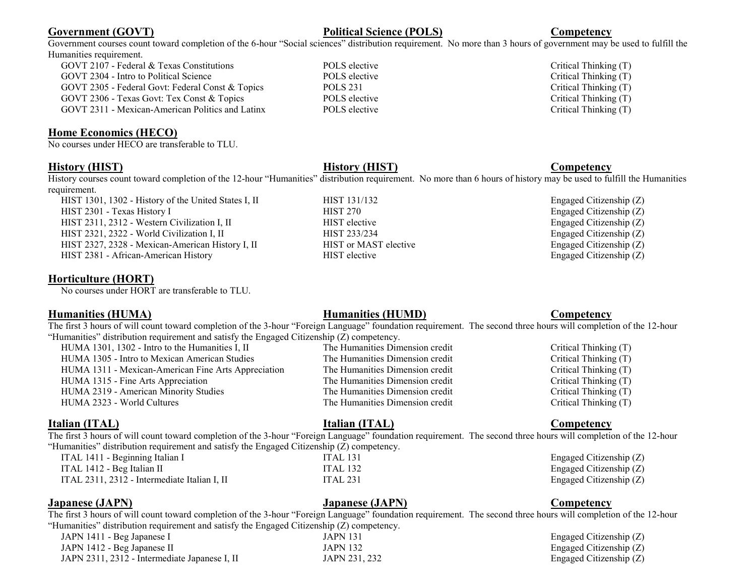# **Government (GOVT) Political Science (POLS) Competency**

Government courses count toward completion of the 6-hour "Social sciences" distribution requirement. No more than 3 hours of government may be used to fulfill the Humanities requirement.

GOVT 2107 - Federal & Texas Constitutions **POLS** elective **Critical Thinking (T)** Critical Thinking (T) GOVT 2304 - Intro to Political Science POLS elective POLS elective Critical Thinking (T) GOVT 2305 - Federal Govt: Federal Const & Topics POLS 231 Critical Thinking (T) GOVT 2306 - Texas Govt: Tex Const & Topics POLS elective POLS elective Critical Thinking (T) GOVT 2311 - Mexican-American Politics and Latinx POLS elective Critical Thinking (T)

# **Home Economics (HECO)**

No courses under HECO are transferable to TLU.

# **History (HIST) History (HIST) Competency**

History courses count toward completion of the 12-hour "Humanities" distribution requirement. No more than 6 hours of history may be used to fulfill the Humanities requirement.

HIST 1301, 1302 - History of the United States I, II HIST 131/132 Engaged Citizenship (Z) HIST 2301 - Texas History I HIST 270 HIST 270 Engaged Citizenship (Z) HIST 2311, 2312 - Western Civilization I, II HIST elective Engaged Citizenship (Z) HIST 2321, 2322 - World Civilization I, II HIST 233/234 Engaged Citizenship (Z) HIST 2327, 2328 - Mexican-American History I, II HIST or MAST elective Engaged Citizenship (Z) HIST 2381 - African-American History HIST elective HIST elective Engaged Citizenship (Z)

# **Horticulture (HORT)**

No courses under HORT are transferable to TLU.

# **Humanities (HUMA) Humanities (HUMD) Competency**

The first 3 hours of will count toward completion of the 3-hour "Foreign Language" foundation requirement. The second three hours will completion of the 12-hour "Humanities" distribution requirement and satisfy the Engaged Citizenship (Z) competency.

| HUMA 1301, 1302 - Intro to the Humanities I, II     | The Humanities Dimension credit | Critical Thinking (T) |
|-----------------------------------------------------|---------------------------------|-----------------------|
| HUMA 1305 - Intro to Mexican American Studies       | The Humanities Dimension credit | Critical Thinking (T) |
| HUMA 1311 - Mexican-American Fine Arts Appreciation | The Humanities Dimension credit | Critical Thinking (T) |
| HUMA 1315 - Fine Arts Appreciation                  | The Humanities Dimension credit | Critical Thinking (T) |
| HUMA 2319 - American Minority Studies               | The Humanities Dimension credit | Critical Thinking (T) |
| HUMA 2323 - World Cultures                          | The Humanities Dimension credit | Critical Thinking (T) |
|                                                     |                                 |                       |

# **Italian (ITAL) Italian (ITAL) Competency**

The first 3 hours of will count toward completion of the 3-hour "Foreign Language" foundation requirement. The second three hours will completion of the 12-hour "Humanities" distribution requirement and satisfy the Engaged Citizenship (Z) competency.

| ITAL 1411 - Beginning Italian I              |  |
|----------------------------------------------|--|
| ITAL 1412 - Beg Italian II                   |  |
| ITAL 2311, 2312 - Intermediate Italian I, II |  |

**Japanese (JAPN) Japanese (JAPN) Competency**

The first 3 hours of will count toward completion of the 3-hour "Foreign Language" foundation requirement. The second three hours will completion of the 12-hour "Humanities" distribution requirement and satisfy the Engaged Citizenship (Z) competency.

| JAPN 1411 - Beg Japanese I                    |  |
|-----------------------------------------------|--|
| JAPN 1412 - Beg Japanese II                   |  |
| JAPN 2311, 2312 - Intermediate Japanese I, II |  |

## JAPN 131 Engaged Citizenship (Z) JAPN 132 Engaged Citizenship (Z) JAPN 231, 232  $\qquad \qquad$  Engaged Citizenship (Z)

ITAL 131  $\Box$  Begaged Citizenship (Z) ITAL 132  $\qquad \qquad$  Engaged Citizenship (Z) ITAL 231  $\qquad \qquad$  Engaged Citizenship (Z)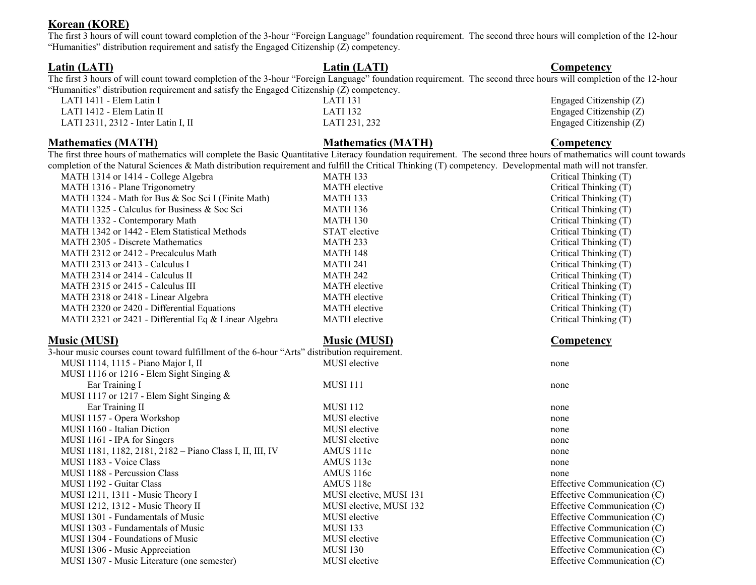# **Korean (KORE)**

The first 3 hours of will count toward completion of the 3-hour "Foreign Language" foundation requirement. The second three hours will completion of the 12-hour "Humanities" distribution requirement and satisfy the Engaged Citizenship (Z) competency.

**Latin (LATI) Latin (LATI) Competency**

The first 3 hours of will count toward completion of the 3-hour "Foreign Language" foundation requirement. The second three hours will completion of the 12-hour "Humanities" distribution requirement and satisfy the Engaged Citizenship (Z) competency.

LATI 1411 - Elem Latin I LATI 131 Engaged Citizenship (Z) LATI 1412 - Elem Latin II LATI 132 Engaged Citizenship (Z) LATI 2311, 2312 - Inter Latin I, II LATI 231, 232 Engaged Citizenship (Z)

# **Mathematics (MATH) Mathematics (MATH) Competency**

The first three hours of mathematics will complete the Basic Quantitative Literacy foundation requirement. The second three hours of mathematics will count towards completion of the Natural Sciences & Math distribution requirement and fulfill the Critical Thinking (T) competency. Developmental math will not transfer.

| MATH 1314 or 1414 - College Algebra                                                          | <b>MATH 133</b>      | Critical Thinking (T) |
|----------------------------------------------------------------------------------------------|----------------------|-----------------------|
| MATH 1316 - Plane Trigonometry                                                               | <b>MATH</b> elective | Critical Thinking (T) |
| MATH 1324 - Math for Bus & Soc Sci I (Finite Math)                                           | <b>MATH 133</b>      | Critical Thinking (T) |
| MATH 1325 - Calculus for Business $\&$ Soc Sci                                               | <b>MATH 136</b>      | Critical Thinking (T) |
| MATH 1332 - Contemporary Math                                                                | <b>MATH 130</b>      | Critical Thinking (T) |
| MATH 1342 or 1442 - Elem Statistical Methods                                                 | STAT elective        | Critical Thinking (T) |
| <b>MATH 2305 - Discrete Mathematics</b>                                                      | <b>MATH 233</b>      | Critical Thinking (T) |
| MATH 2312 or 2412 - Precalculus Math                                                         | <b>MATH 148</b>      | Critical Thinking (T) |
| MATH 2313 or $2413$ - Calculus I                                                             | <b>MATH 241</b>      | Critical Thinking (T) |
| MATH 2314 or 2414 - Calculus II                                                              | <b>MATH 242</b>      | Critical Thinking (T) |
| MATH 2315 or 2415 - Calculus III                                                             | <b>MATH</b> elective | Critical Thinking (T) |
| MATH 2318 or 2418 - Linear Algebra                                                           | <b>MATH</b> elective | Critical Thinking (T) |
| MATH 2320 or 2420 - Differential Equations                                                   | MATH elective        | Critical Thinking (T) |
| MATH 2321 or 2421 - Differential Eq & Linear Algebra                                         | MATH elective        | Critical Thinking (T) |
| <b>Music (MUSI)</b>                                                                          | <b>Music (MUSI)</b>  | Competency            |
| 3-hour music courses count toward fulfillment of the 6-hour "Arts" distribution requirement. |                      |                       |
| MUSI 1114, 1115 - Piano Major I, II                                                          | MUSI elective        | none                  |
| MUSI 1116 or 1216 - Elem Sight Singing $\&$                                                  |                      |                       |
| Ear Training I                                                                               | <b>MUSI 111</b>      | none                  |

| Ear Training I                                           | MUSI 111                | none                        |
|----------------------------------------------------------|-------------------------|-----------------------------|
| MUSI 1117 or 1217 - Elem Sight Singing $&$               |                         |                             |
| Ear Training II                                          | <b>MUSI 112</b>         | none                        |
| MUSI 1157 - Opera Workshop                               | MUSI elective           | none                        |
| MUSI 1160 - Italian Diction                              | MUSI elective           | none                        |
| MUSI 1161 - IPA for Singers                              | MUSI elective           | none                        |
| MUSI 1181, 1182, 2181, 2182 – Piano Class I, II, III, IV | AMUS 111c               | none                        |
| MUSI 1183 - Voice Class                                  | AMUS 113c               | none                        |
| MUSI 1188 - Percussion Class                             | AMUS 116c               | none                        |
| MUSI 1192 - Guitar Class                                 | AMUS 118c               | Effective Communication (C) |
| MUSI 1211, 1311 - Music Theory I                         | MUSI elective, MUSI 131 | Effective Communication (C) |
| MUSI 1212, 1312 - Music Theory II                        | MUSI elective, MUSI 132 | Effective Communication (C) |
| MUSI 1301 - Fundamentals of Music                        | <b>MUSI</b> elective    | Effective Communication (C) |
| MUSI 1303 - Fundamentals of Music                        | <b>MUSI 133</b>         | Effective Communication (C) |
| MUSI 1304 - Foundations of Music                         | <b>MUSI</b> elective    | Effective Communication (C) |
| MUSI 1306 - Music Appreciation                           | <b>MUSI 130</b>         | Effective Communication (C) |
| MUSI 1307 - Music Literature (one semester)              | MUSI elective           | Effective Communication (C) |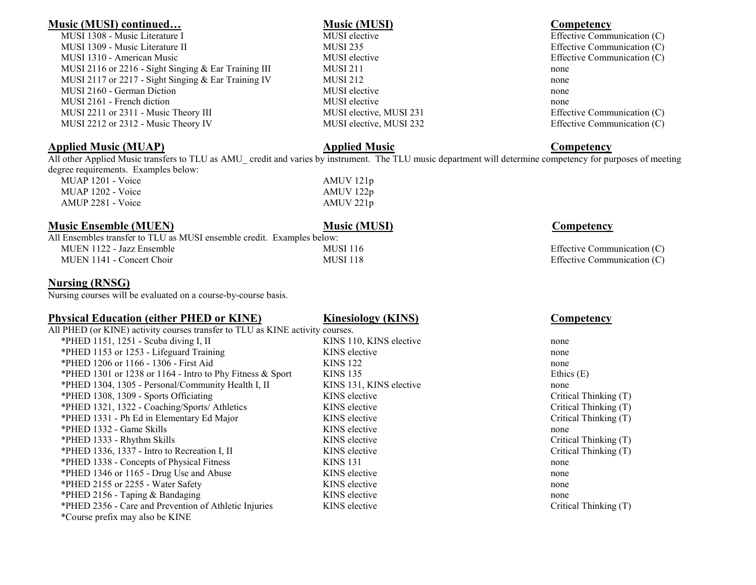## **Music (MUSI) continued… Music (MUSI) Competency**

MUSI 1308 - Music Literature I MUSI elective MUSI elective Communication (C) MUSI 1309 - Music Literature II and MUSI 235 and MUSI 235 Effective Communication (C) MUSI 1310 - American Music **MUSI elective Communication (C)** and MUSI elective Communication (C) MUSI 2116 or 2216 - Sight Singing & Ear Training III MUSI 211 MUSI 2117 or 2217 - Sight Singing & Ear Training IV MUSI 212 none MUSI 2160 - German Diction **NUSI elective** none none none MUSI 2161 - French diction MUSI elective none MUSI 2211 or 2311 - Music Theory III MUSI elective, MUSI 231 Effective Communication (C) MUSI 2212 or 2312 - Music Theory IV MUSI elective, MUSI 232 Effective Communication (C)

## **Applied Music (MUAP) Applied Music Competency**

All other Applied Music transfers to TLU as AMU credit and varies by instrument. The TLU music department will determine competency for purposes of meeting degree requirements. Examples below:

MUAP 1201 - Voice AMUV 121p MUAP 1202 - Voice AMUV 122p AMUP 2281 - Voice AMUV 221p

## **Music Ensemble (MUEN) Music (MUSI) Music (MUSI) Competency**

| All Ensembles transfer to TLU as MUSI ensemble credit. Examples below: |            |
|------------------------------------------------------------------------|------------|
| MUEN 1122 - Jazz Ensemble                                              | MUS        |
| MUEN 1141 - Concert Choir                                              | <b>MUS</b> |

# **Nursing (RNSG)**

Nursing courses will be evaluated on a course-by-course basis.

# **Physical Education (either PHED or KINE) Kinesiology (KINS) Competency**

All PHED (or KINE) activity courses transfer to TLU as KINE activity courses. \*PHED 1151, 1251 - Scuba diving I, II KINS 110, KINS elective none \*PHED 1153 or 1253 - Lifeguard Training KINS elective none \*PHED 1206 or 1166 - 1306 - First Aid KINS 122 none \*PHED 1301 or 1238 or 1164 - Intro to Phy Fitness & Sport KINS 135 Ethics (E) \*PHED 1304, 1305 - Personal/Community Health I, II KINS 131, KINS elective none \*PHED 1308, 1309 - Sports Officiating T \*PHED 1321, 1322 - Coaching/Sports/ Athletics KINS elective Critical Thinking (T) \*PHED 1331 - Ph Ed in Elementary Ed Major KINS elective Critical Thinking (T) \*PHED 1332 - Game Skills none none none is kindled at KINS elective none none none \*PHED 1333 - Rhythm Skills **KINS** elective Critical Thinking (T) \*PHED 1336, 1337 - Intro to Recreation I, II KINS elective Critical Thinking (T) \*PHED 1338 - Concepts of Physical Fitness KINS 131 KINS 131 \*PHED 1346 or 1165 - Drug Use and Abuse KINS elective KINS elective none \*PHED 2155 or 2255 - Water Safety Network Contract Research KINS elective none \*PHED 2156 - Taping & Bandaging National Communication Communication Communication Communication Communication Communication Communication Communication Communication Communication Communication Communication Communication \*PHED 2356 - Care and Prevention of Athletic Injuries KINS elective Critical Thinking (T) \*Course prefix may also be KINE

 $\text{H}_2$  -  $\text{H}_2$   $\text{H}_2$   $\text{H}_2$   $\text{H}_2$   $\text{H}_2$   $\text{H}_2$   $\text{H}_2$   $\text{H}_2$   $\text{H}_2$   $\text{H}_2$   $\text{H}_2$   $\text{H}_2$   $\text{H}_2$   $\text{H}_2$   $\text{H}_2$   $\text{H}_2$   $\text{H}_2$   $\text{H}_2$   $\text{H}_2$   $\text{H}_2$   $\text{H}_2$   $\text{H}_2$   $\text{H}_2$   $\text$  $\text{H}_1$   $\text{H}_2$   $\text{H}_3$   $\text{H}_4$   $\text{H}_5$   $\text{H}_5$   $\text{H}_6$   $\text{H}_7$   $\text{H}_7$   $\text{H}_8$   $\text{H}_7$   $\text{H}_8$   $\text{H}_7$   $\text{H}_8$   $\text{H}_7$   $\text{H}_7$   $\text{H}_8$   $\text{H}_7$   $\text{H}_8$   $\text{H}_7$   $\text{H}_7$   $\text{H}_8$   $\text{H}_7$   $\text{H}_8$   $\text{H$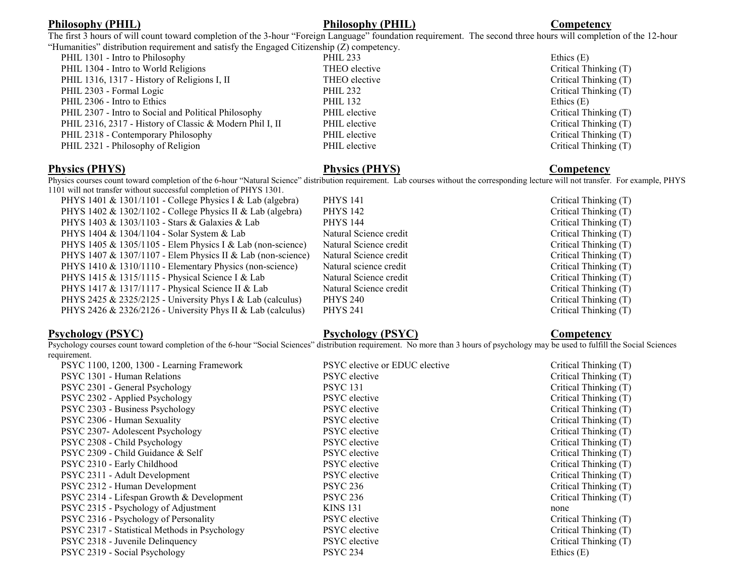# **Philosophy (PHIL) Philosophy (PHIL) Competency**

The first 3 hours of will count toward completion of the 3-hour "Foreign Language" foundation requirement. The second three hours will completion of the 12-hour<br>"Humanities" distribution requirement and satisfy the Engaged aguinement and geticks the Eng

| Humanities" distribution requirement and satisfy the Engaged Citizenship ( $Z$ ) competency. |                 |              |
|----------------------------------------------------------------------------------------------|-----------------|--------------|
| PHIL 1301 - Intro to Philosophy                                                              | <b>PHIL 233</b> | Ethics $(E)$ |
| PHIL 1304 - Intro to World Religions                                                         | THEO elective   | Critical T   |
| PHIL 1316, 1317 - History of Religions I, II                                                 | THEO elective   | Critical T   |
| PHIL 2303 - Formal Logic                                                                     | <b>PHIL 232</b> | Critical T   |
| PHIL 2306 - Intro to Ethics                                                                  | <b>PHIL 132</b> | Ethics $(E)$ |
| PHIL 2307 - Intro to Social and Political Philosophy                                         | PHIL elective   | Critical T   |
| PHIL 2316, 2317 - History of Classic & Modern Phil I, II                                     | PHIL elective   | Critical T   |
| PHIL 2318 - Contemporary Philosophy                                                          | PHIL elective   | Critical T   |
| PHIL 2321 - Philosophy of Religion                                                           | PHIL elective   | Critical T   |
|                                                                                              |                 |              |

# Critical Thinking (T) Critical Thinking (T) Critical Thinking (T)<br>Ethics (E) Critical Thinking (T) Critical Thinking (T) Critical Thinking (T) Critical Thinking (T)

## **Physics (PHYS) Physics (PHYS) Competency**

Physics courses count toward completion of the 6-hour "Natural Science" distribution requirement. Lab courses without the corresponding lecture will not transfer. For example, PHYS 1101 will not transfer without successful completion of PHYS 1301.

| $\ldots$ . The movement of the contract contract of the complex of the state of $\ldots$ |                        |                       |
|------------------------------------------------------------------------------------------|------------------------|-----------------------|
| PHYS 1401 & 1301/1101 - College Physics I & Lab (algebra)                                | <b>PHYS 141</b>        | Critical Thinking (T) |
| PHYS 1402 & 1302/1102 - College Physics II & Lab (algebra)                               | <b>PHYS 142</b>        | Critical Thinking (T) |
| PHYS 1403 & 1303/1103 - Stars & Galaxies & Lab                                           | <b>PHYS 144</b>        | Critical Thinking (T) |
| PHYS 1404 & 1304/1104 - Solar System & Lab                                               | Natural Science credit | Critical Thinking (T) |
| PHYS 1405 & 1305/1105 - Elem Physics I & Lab (non-science)                               | Natural Science credit | Critical Thinking (T) |
| PHYS 1407 & 1307/1107 - Elem Physics II & Lab (non-science)                              | Natural Science credit | Critical Thinking (T) |
| PHYS 1410 & 1310/1110 - Elementary Physics (non-science)                                 | Natural science credit | Critical Thinking (T) |
| PHYS 1415 & 1315/1115 - Physical Science I & Lab                                         | Natural Science credit | Critical Thinking (T) |
| PHYS 1417 & 1317/1117 - Physical Science II & Lab                                        | Natural Science credit | Critical Thinking (T) |
| PHYS 2425 & 2325/2125 - University Phys I & Lab (calculus)                               | <b>PHYS 240</b>        | Critical Thinking (T) |
| PHYS 2426 & 2326/2126 - University Phys II & Lab (calculus)                              | <b>PHYS 241</b>        | Critical Thinking (T) |
|                                                                                          |                        |                       |

# **Psychology (PSYC) Psychology (PSYC) Competency**

Psychology courses count toward completion of the 6-hour "Social Sciences" distribution requirement. No more than 3 hours of psychology may be used to fulfill the Social Sciences requirement.

| PSYC 1100, 1200, 1300 - Learning Framework    | PSYC elective or EDUC elective | Critical Thinking (T) |
|-----------------------------------------------|--------------------------------|-----------------------|
| PSYC 1301 - Human Relations                   | <b>PSYC</b> elective           | Critical Thinking (T) |
| PSYC 2301 - General Psychology                | <b>PSYC</b> 131                | Critical Thinking (T) |
| PSYC 2302 - Applied Psychology                | PSYC elective                  | Critical Thinking (T) |
| PSYC 2303 - Business Psychology               | <b>PSYC</b> elective           | Critical Thinking (T) |
| PSYC 2306 - Human Sexuality                   | <b>PSYC</b> elective           | Critical Thinking (T) |
| PSYC 2307- Adolescent Psychology              | <b>PSYC</b> elective           | Critical Thinking (T) |
| PSYC 2308 - Child Psychology                  | <b>PSYC</b> elective           | Critical Thinking (T) |
| PSYC 2309 - Child Guidance & Self             | <b>PSYC</b> elective           | Critical Thinking (T) |
| PSYC 2310 - Early Childhood                   | <b>PSYC</b> elective           | Critical Thinking (T) |
| PSYC 2311 - Adult Development                 | <b>PSYC</b> elective           | Critical Thinking (T) |
| PSYC 2312 - Human Development                 | <b>PSYC 236</b>                | Critical Thinking (T) |
| PSYC 2314 - Lifespan Growth & Development     | <b>PSYC 236</b>                | Critical Thinking (T) |
| PSYC 2315 - Psychology of Adjustment          | <b>KINS 131</b>                | none                  |
| PSYC 2316 - Psychology of Personality         | <b>PSYC</b> elective           | Critical Thinking (T) |
| PSYC 2317 - Statistical Methods in Psychology | <b>PSYC</b> elective           | Critical Thinking (T) |
| PSYC 2318 - Juvenile Delinquency              | <b>PSYC</b> elective           | Critical Thinking (T) |
| PSYC 2319 - Social Psychology                 | <b>PSYC 234</b>                | Ethics $(E)$          |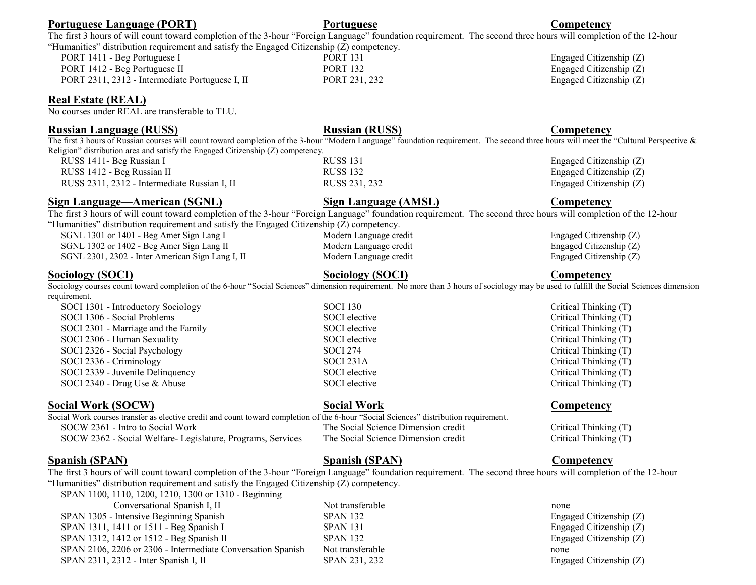| Portuguese Language (PORT)                                                                                                                                                                                                                                                | Portuguese                                       | Competency              |
|---------------------------------------------------------------------------------------------------------------------------------------------------------------------------------------------------------------------------------------------------------------------------|--------------------------------------------------|-------------------------|
| The first 3 hours of will count toward completion of the 3-hour "Foreign Language" foundation requirement. The second three hours will completion of the 12-hour                                                                                                          |                                                  |                         |
| "Humanities" distribution requirement and satisfy the Engaged Citizenship (Z) competency.                                                                                                                                                                                 |                                                  |                         |
| PORT 1411 - Beg Portuguese I                                                                                                                                                                                                                                              | <b>PORT 131</b>                                  | Engaged Citizenship (Z) |
| PORT 1412 - Beg Portuguese II                                                                                                                                                                                                                                             | <b>PORT 132</b>                                  | Engaged Citizenship (Z) |
| PORT 2311, 2312 - Intermediate Portuguese I, II                                                                                                                                                                                                                           | PORT 231, 232                                    | Engaged Citizenship (Z) |
| <b>Real Estate (REAL)</b><br>No courses under REAL are transferable to TLU.                                                                                                                                                                                               |                                                  |                         |
| <b>Russian Language (RUSS)</b>                                                                                                                                                                                                                                            | <b>Russian (RUSS)</b>                            | Competency              |
| The first 3 hours of Russian courses will count toward completion of the 3-hour "Modern Language" foundation requirement. The second three hours will meet the "Cultural Perspective &<br>Religion" distribution area and satisfy the Engaged Citizenship (Z) competency. |                                                  |                         |
| RUSS 1411- Beg Russian I                                                                                                                                                                                                                                                  | <b>RUSS 131</b>                                  | Engaged Citizenship (Z) |
| RUSS 1412 - Beg Russian II                                                                                                                                                                                                                                                | <b>RUSS 132</b>                                  | Engaged Citizenship (Z) |
| RUSS 2311, 2312 - Intermediate Russian I, II                                                                                                                                                                                                                              | RUSS 231, 232                                    | Engaged Citizenship (Z) |
| <b>Sign Language—American (SGNL)</b>                                                                                                                                                                                                                                      | <b>Sign Language (AMSL)</b>                      | Competency              |
| The first 3 hours of will count toward completion of the 3-hour "Foreign Language" foundation requirement. The second three hours will completion of the 12-hour                                                                                                          |                                                  |                         |
| "Humanities" distribution requirement and satisfy the Engaged Citizenship (Z) competency.                                                                                                                                                                                 |                                                  |                         |
| SGNL 1301 or 1401 - Beg Amer Sign Lang I                                                                                                                                                                                                                                  | Modern Language credit                           | Engaged Citizenship (Z) |
| SGNL 1302 or 1402 - Beg Amer Sign Lang II                                                                                                                                                                                                                                 | Modern Language credit<br>Modern Language credit | Engaged Citizenship (Z) |
| SGNL 2301, 2302 - Inter American Sign Lang I, II                                                                                                                                                                                                                          |                                                  | Engaged Citizenship (Z) |
| <b>Sociology (SOCI)</b>                                                                                                                                                                                                                                                   | <b>Sociology (SOCI)</b>                          | Competency              |
| Sociology courses count toward completion of the 6-hour "Social Sciences" dimension requirement. No more than 3 hours of sociology may be used to fulfill the Social Sciences dimension                                                                                   |                                                  |                         |
| requirement.                                                                                                                                                                                                                                                              |                                                  |                         |
| SOCI 1301 - Introductory Sociology                                                                                                                                                                                                                                        | <b>SOCI 130</b>                                  | Critical Thinking (T)   |
| SOCI 1306 - Social Problems                                                                                                                                                                                                                                               | SOCI elective                                    | Critical Thinking (T)   |
| SOCI 2301 - Marriage and the Family                                                                                                                                                                                                                                       | SOCI elective                                    | Critical Thinking (T)   |
| SOCI 2306 - Human Sexuality                                                                                                                                                                                                                                               | SOCI elective                                    | Critical Thinking (T)   |
| SOCI 2326 - Social Psychology                                                                                                                                                                                                                                             | <b>SOCI 274</b>                                  | Critical Thinking (T)   |
| SOCI 2336 - Criminology                                                                                                                                                                                                                                                   | SOCI 231A                                        | Critical Thinking (T)   |
| SOCI 2339 - Juvenile Delinquency                                                                                                                                                                                                                                          | SOCI elective                                    | Critical Thinking (T)   |
| SOCI 2340 - Drug Use & Abuse                                                                                                                                                                                                                                              | SOCI elective                                    | Critical Thinking (T)   |
| Social Work (SOCW)                                                                                                                                                                                                                                                        | <b>Social Work</b>                               | <b>Competency</b>       |
| Social Work courses transfer as elective credit and count toward completion of the 6-hour "Social Sciences" distribution requirement.                                                                                                                                     |                                                  |                         |
| SOCW 2361 - Intro to Social Work                                                                                                                                                                                                                                          | The Social Science Dimension credit              | Critical Thinking (T)   |
| SOCW 2362 - Social Welfare- Legislature, Programs, Services                                                                                                                                                                                                               | The Social Science Dimension credit              | Critical Thinking (T)   |
|                                                                                                                                                                                                                                                                           |                                                  |                         |

## **Spanish (SPAN) Spanish (SPAN) Competency**

The first 3 hours of will count toward completion of the 3-hour "Foreign Language" foundation requirement. The second three hours will completion of the 12-hour "Humanities" distribution requirement and satisfy the Engaged Citizenship  $(Z)$  competency.

| SPAN 1100, 1110, 1200, 1210, 1300 or 1310 - Beginning       |   |
|-------------------------------------------------------------|---|
| Conversational Spanish I, II                                | Ν |
| SPAN 1305 - Intensive Beginning Spanish                     | S |
| SPAN 1311, 1411 or 1511 - Beg Spanish I                     | S |
| SPAN 1312, 1412 or 1512 - Beg Spanish II                    | S |
| SPAN 2106, 2206 or 2306 - Intermediate Conversation Spanish | N |
| SPAN 2311, 2312 - Inter Spanish I, II                       | S |

Not transferable none none Not transferable  $\blacksquare$ 

# $SPAN 132$  Engaged Citizenship (Z)  $SPAN 131$  Engaged Citizenship  $(Z)$  $SPAN 132$  Engaged Citizenship  $(Z)$  $SPAN 231, 232$  Engaged Citizenship (Z)